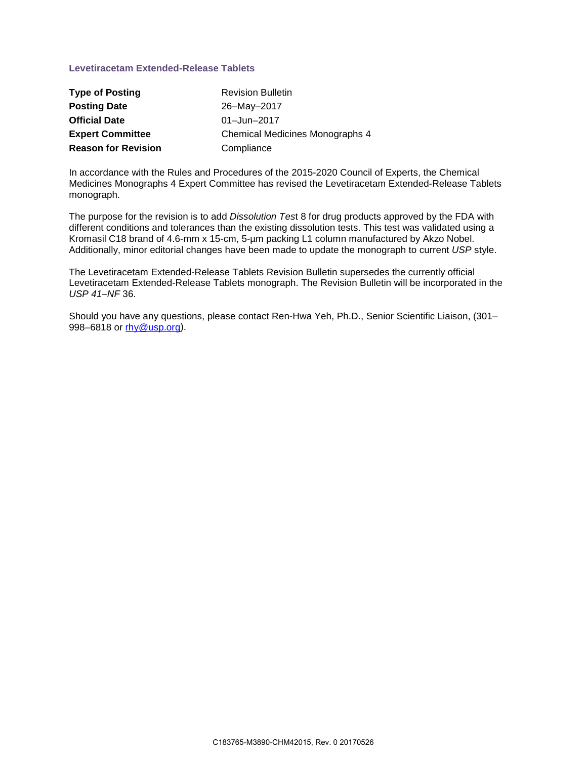### **Levetiracetam Extended-Release Tablets**

| <b>Type of Posting</b>     | <b>Revision Bulletin</b>               |
|----------------------------|----------------------------------------|
| <b>Posting Date</b>        | 26-May-2017                            |
| <b>Official Date</b>       | 01-Jun-2017                            |
| <b>Expert Committee</b>    | <b>Chemical Medicines Monographs 4</b> |
| <b>Reason for Revision</b> | Compliance                             |

In accordance with the Rules and Procedures of the 2015-2020 Council of Experts, the Chemical Medicines Monographs 4 Expert Committee has revised the Levetiracetam Extended-Release Tablets monograph.

The purpose for the revision is to add *Dissolution Tes*t 8 for drug products approved by the FDA with different conditions and tolerances than the existing dissolution tests. This test was validated using a Kromasil C18 brand of 4.6-mm x 15-cm, 5-µm packing L1 column manufactured by Akzo Nobel. Additionally, minor editorial changes have been made to update the monograph to current *USP* style.

The Levetiracetam Extended-Release Tablets Revision Bulletin supersedes the currently official Levetiracetam Extended-Release Tablets monograph. The Revision Bulletin will be incorporated in the *USP 41*–*NF* 36.

Should you have any questions, please contact Ren-Hwa Yeh, Ph.D., Senior Scientific Liaison, (301– 998–6818 or [rhy@usp.org\)](mailto:RHY@usp.org).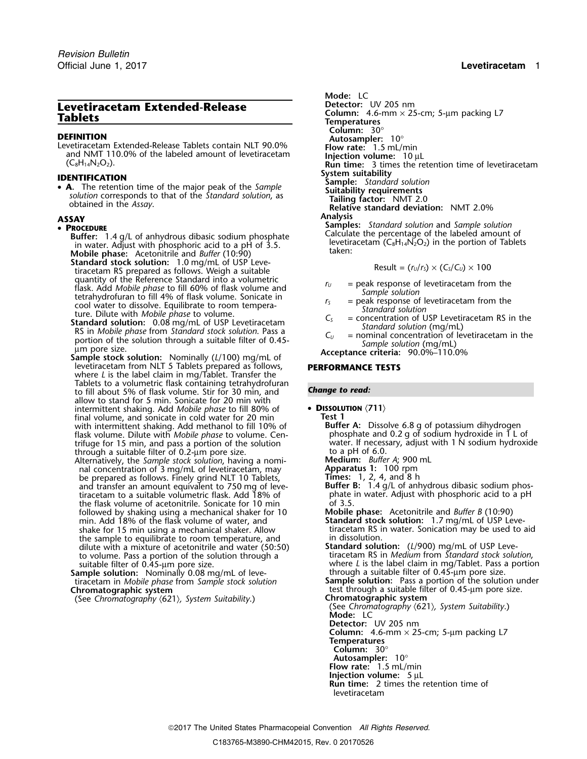# **Levetiracetam Extended-Release**

**DEFINITION**<br>
Levetiracetam Extended-Release Tablets contain NLT 90.0% **Flow rate:** 1.5 mL/min and NMT 110.0% of the labeled amount of levetiracetam **Injection volume:** 10 µL<br>
(C<sub>8</sub>H<sub>14</sub>N<sub>2</sub>O<sub>2</sub>). **INS INS INS INS**

**System suitability**<br> **• A.** The retention time of the major peak of the Sample<br>
solution corresponds to that of the Standard solution as **Suitability requirements** Solution corresponds to that of the Standard solution, as<br>obtained in the Assay.<br>Relative standard deviation: NMT 2.0%

- **Buffer:** 1.4 g/L of anhydrous dibasic sodium phosphate Calculate the percentage of the labeled amount of in water. Adjust with phosphoric acid to a pH of 3.5.<br>in water. Adjust with phosphoric acid to a pH of 3.5.<br>Additio **Mobile phase:** taken: Acetonitrile and *Buffer* (10:90)
- **Standard stock solution:** 1.0 mg/mL of USP Leve-<br>tiracetam RS prepared as follows. Weigh a suitable  $r = \frac{R}{2}$  Result =  $\frac{r_u}{r_s} \times \frac{C_s}{C_u} \times 100$ quantity of the Reference Standard into a volumetric<br>
flask. Add *Mobile phase* to fill 60% of flask volume and<br>
tetrahydrofuran to fill 4% of flask volume. Sonicate in<br>
colo water to dissolve. Equilibrate to room tempera
- 
- Sample stock solution: Nominally (L/100) mg/mL of<br>levetiracetam from NLT 5 Tablets prepared as follows, **PERFORMANCE TESTS** where *L* is the label claim in mg/Tablet. Transfer the Tablets to a volumetric flask containing tetrahydrofuran *Change to read:* to fill about 5% of flask volume. Stir for 30 min, and allow to stand for 5 min. Sonicate for 20 min with intermittent shaking. Add *Mobile phase* to fill 80% of • **<sup>D</sup>ISSOLUTION** 〈**711**〉 final volume, and sonicate in cold water for 20 min **Test 1** with intermittent shaking. Add methanol to fill 10% of flask volume. Dilute with *Mobile phase* to volume. Centrifuge for 15 min, and pass a portion of the solution water. If necess<br>through a suitable filter of 0.2-um pore size. to a pH of 6.0. through a suitable filter of 0.2-um pore size.<br>Alternatively, the *Sample stock solution*, having a nomi-**Medium:** *Buffer A;* 900 mL
- Alternatively, the *Sample stock solution*, having a nomi- **Medium:** *Buffer A*; 900 mL nal concentration of 3 mg/mL of levetiracetam, may **Apparatus 1:** 100 rpm be prepared as follows. Finely grind NLT 10 Tablets, **Times:** 1, 2, 4, and 8 h and transfer an amount equivalent to 750 mg of leve-<br>tiracetam to a suitable volumetric flask. Add 18% of **Buffer B:** 1.4 g/L of anhydrous dibasic sodium phos-<br>phate in water. Adjust with phosphoric acid to a pH tiracetam to a suitable volumetric flask. Add 18% of the flask volume of acetonitrile. Sonicate for 10 min of 3.5 followed by shaking using a mechanical shaker for 10 **Mobile phase:** Acetonitrile and *Buffer B* (10:90) min. Add 18% of the flask volume of water, and **Standard stock solution:** 1.7 mg/mL of USP Leveshake for 15 min using a mechanical shaker. Allow tiracetam RS in the sample to equilibrate to room temperature, and the sample to equilibrate to room temperature, and dilute with a mixture of acetonitrile and water (50:50) to volume. Pass a portion of the solution through a time of acetonitrile and water (50:50) **Standard solution:** (L/900) mg/mL of USP Leve-<br>to volume. Pass a portion of the solution through a tiracetam RS in *Medium* from
- **Sample solution:** Nominally 0.08 mg/mL of leve-<br>tiracetam in *Mobile phase* from *Sample stock solution* Sample solution: Nominally 0.08 mg/mL of leve-<br>tiracetam in *Mobile phase* from *Sample stock solution*<br>**Sample solution:** Pass a portion of the solution under<br>**Chromatographic system**<br>**Chromatographic system**<br>**Chromatogra**

(See Chromatography  $(621)$ , System Suitability.)

Mode: LC<br>Detector: UV 205 nm **Column:** 4.6-mm × 25-cm; 5-µm packing L7 **Tablets Temperatures Column:** 30° **Run time:** 3 times the retention time of levetiracetam **ASSAY Analysis Samples:** *Standard solution* and *Sample solution* •

$$
Result = (r_U/r_S) \times (C_S/C_U) \times 100
$$

- 
- 
- 
- 

**Buffer A:** Dissolve 6.8 g of potassium dihydrogen phosphate and 0.2 g of sodium hydroxide in 1 L of water. If necessary, adjust with 1 N sodium hydroxide

- 
- where *L* is the label claim in mg/Tablet. Pass a portion

test through a suitable filter of 0.45-µm pore size.<br>Chromatographic system

(See *Chromatography* 〈621〉*, System Suitability*.) **Mode:** LC

**Detector:** UV 205 nm

**Column:** 4.6-mm  $\times$  25-cm; 5-µm packing L7

- **Temperatures**
- **Column:** 30°
- **Autosampler:** 10° **Flow rate:** 1.5 mL/min
- **Injection volume:** 5 µL
- **Run time:** 2 times the retention time of levetiracetam

2017 The United States Pharmacopeial Convention *All Rights Reserved.*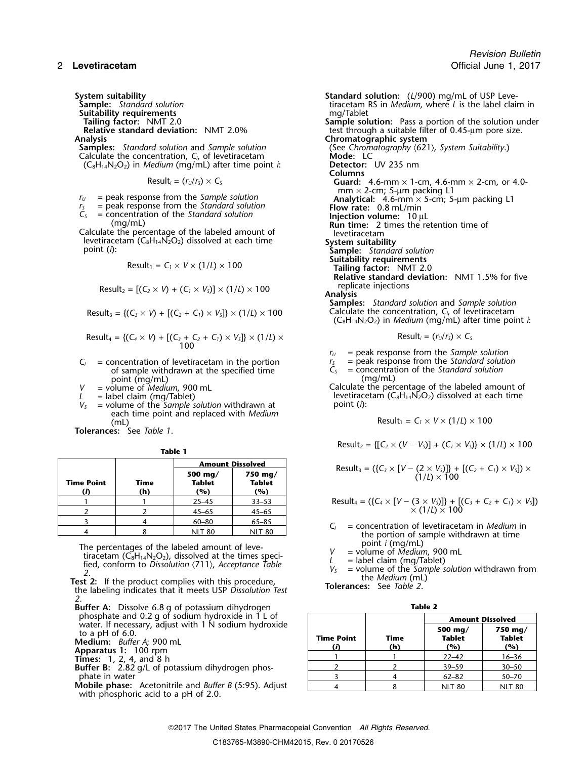**Suitability requirements<br>Tailing factor: NMT 2.0** 

**Samples:** *Standard solution* and *Sample solution* (See *Chrom* Calculate the concentration, *C<sub>i</sub>*, of levetiracetam **Suitable Mode:** LC Calculate the concentration,  $C_i$  of levetiracetam **Mode:** LC **Mode:** LC **Mode:** LC **C**<sub>8</sub>H<sub>14</sub>N<sub>2</sub>O<sub>2</sub>) in *Medium* (mg/mL) after time point *i*: **Detector:** UV 235 nm  $(C_8H_{14}N_2O_2)$  in *Medium* (mg/mL) after time point *i*:

$$
Result_i = (r_U/r_S) \times C_S
$$

- 
- 
- 

Calculate the percentage of the labeled amount of levetiracetam levetiracetam  $(C_8H_{14}N_2O_2)$  dissolved at each time **System suitability**<br>point (*i*): **System suitability** 

$$
Result_1 = C_1 \times V \times (1/L) \times 100
$$

Result<sub>2</sub> = 
$$
[(C_2 \times V) + (C_1 \times V_3)] \times (1/l) \times 100
$$
 replicate injections

$$
Result_3 = \{ (C_3 \times V) + [(C_2 + C_1) \times V_5] \} \times (1/L) \times 100
$$

$$
Result_4 = \{(C_4 \times V) + [(C_3 + C_2 + C_1) \times V_5] \} \times (1/L) \times
$$
\n
$$
Result_4 = (r_0/r_5) \times C_5
$$
\n
$$
Result_5 = (r_1/r_5) \times C_5
$$

- $C_i$  = concentration of levetiracetam in the portion  $C_5$  = peak response from the *Standard solution* of sample withdrawn at the specified time  $C_5$  = concentration of the *Standard solution* of sample withdrawn at the specified time *C<sub>S</sub>* = concentration point (mg/mL)
- point (mg/mL)<br>= volume of *Medium*, 900 mL
- 
- *<sup>V</sup>* point (*i*): *<sup>S</sup>* = volume of the *Sample solution* withdrawn at each time point and replaced with *Medium* (mL)  $\qquad \qquad \mathsf{Result_1 = C_1 \times V \times (1/l) \times 100}$

**Tolerances:** See *Table 1*.

|--|--|

|                                                                                     | <b>Amount Dissolved</b>         |                                 |             |                   |  |
|-------------------------------------------------------------------------------------|---------------------------------|---------------------------------|-------------|-------------------|--|
| Result <sub>3</sub> = $({C_3} \times [V - (2 \times V_5))]$ +<br>$(1/L) \times 100$ | 750 mg/<br><b>Tablet</b><br>(%) | 500 mg/<br><b>Tablet</b><br>(%) | Time<br>(h) | <b>Time Point</b> |  |
| Result <sub>4</sub> = $({C_4} \times [V - (3 \times V_s)]) + [0, 0]$                | $33 - 53$                       | $25 - 45$                       |             |                   |  |
| $\vec{x}$ (1/L) $\vec{x}$ 100                                                       | $45 - 65$                       | $45 - 65$                       |             |                   |  |
|                                                                                     | $65 - 85$                       | 60–80                           |             |                   |  |
| $=$ concentration of levetiraceta<br>tha nastan af complaint                        | <b>NLT 80</b>                   | <b>NLT 80</b>                   |             |                   |  |

The percentages of the labeled amount of leve-<br>tiracetam (C<sub>8</sub>H<sub>14</sub>N<sub>2</sub>O<sub>2</sub>), dissolved at the times speci-<br>fied, conform to Dissolution (711), Acceptance Table<br>2.<br>**Test 2:** If the product complies with this procedure,<br>th

*2.*

- **Buffer A:** Dissolve 6.8 g of potassium dihydrogen **Table 2**
- 
- 

**Mobile phase:** Acetonitrile and *Buffer B* (5:95). Adjust with phosphoric acid to a pH of 2.0.

**System suitability**<br>**Standard solution**<br>**Standard solution**<br>**Standard solution**<br>**Standard solution**<br>**Standard Standard Solution**<br>**Standard Standard Standard Standard Standard Standard Standard Standard Standard Standard S** tiracetam RS in *Medium*, where *L* is the label claim in mg/Tablet **Tailing factor:** NMT 2.0 **Sample solution:** Pass a portion of the solution under **Relative standard deviation:** NMT 2.0% test through a suitable filter of 0.45-µm pore size. Analysis<br>**Samples:** Standard solution and Sample solution **Chromatographic system** (See Chromatography  $(621)$ , System Suitability.) **Columns** Guard:  $4.6$ -mm  $\times$  1-cm,  $4.6$ -mm  $\times$  2-cm, or  $4.0$ mm  $\times$  2-cm; 5-µm packing L1  $r_U$  = peak response from the *Sample solution*<br>  $r_S$  = peak response from the *Standard solution*<br> **Analytical:** 4.6-mm × 5-cm; 5-µm packing L1<br> **Flow rate:** 0.8 mL/min  $r_s$  = peak response from the *Standard solution* **Flow rate:** 0.8 mL/min *C<sub>S</sub>* = concentration of the *Standard solution* **Injection volume:** 10 µL (mg/mL) **Instandant injection volume:** 10 µL **Run time:** 2 times the retention time of  $\delta$ ample: *Standard solution*<br>Suitability requirements  $(T/L) \times 100$  **Tailing factor:** NMT 2.0 **Relative standard deviation:** NMT 1.5% for five **Samples:** *Standard solution* and *Sample solution* Calculate the concentration,  $C_i$ , of levetiracetam (C8H14N2O2) in *Medium* (mg/mL) after time point *i*:

Result<sub>i</sub> = 
$$
(r_v/r_s) \times C_s
$$

 $r_U$  = peak response from the *Sample solution*<br> $r_S$  = peak response from the *Standard solution* 

*V* = volume of *Medium*, 900 mL Calculate the percentage of the labeled amount of the labeled amount of the labeled amount of the labeled amount of the labeled amount of the labeled amount of the labeled amount of the lab *L* = label claim (mg/Tablet)<br>  $V_s$  = volume of the *Sample solution* withdrawn at point (*i*):<br>
point (*i*):

$$
Result_1 = C_1 \times V \times (1/L) \times 100
$$

 $Result_2 = \{ [C_2 \times (V - V_5)] + (C_1 \times V_5) \} \times (1/L) \times 100$ 

| Amount Dis solved | 750 mg/1 | Result <sub>3</sub> = ( $\{C_3 \times [V - (2 \times V_3)]\} + [(C_2 + C_1) \times V_3] \times$ |
|-------------------|----------|-------------------------------------------------------------------------------------------------|
| ng/1              | 750 mg/1 | Result <sub>3</sub> = ( $\{C_3 \times [V - (2 \times V_3)]\} + [(C_2 + C_1) \times V_3] \times$ |

1 1 25–45 33–53 Result $4 = ({C_4} \times [V - (3 \times V_5))] + [C_3 + C_2 + C_1) \times V_5]$ 

- $C_i$  = concentration of levetiracetam in *Medium* in the portion of sample withdrawn at time<br>point  $i$  (mg/mL)
- 
- 
- 

| phosphate and 0.2 g of sodium hydroxide in 1 L of                                                          |                   |             | <b>Amount Dissolved</b>  |                                 |  |
|------------------------------------------------------------------------------------------------------------|-------------------|-------------|--------------------------|---------------------------------|--|
| water. If necessary, adjust with 1 N sodium hydroxide<br>to a pH of $6.0$ .<br>Medium: Buffer A; 900 mL    | <b>Time Point</b> | Time<br>(h) | 500 mg/<br>Tablet<br>(%) | 750 mg/<br><b>Tablet</b><br>(%) |  |
| Apparatus 1: 100 rpm<br><b>Times:</b> 1, 2, 4, and 8 h<br>Buffer B: 2.82 g/L of potassium dihydrogen phos- |                   |             | $22 - 42$                | $16 - 36$                       |  |
|                                                                                                            |                   |             | $39 - 59$                | $30 - 50$                       |  |
| phate in water                                                                                             |                   |             | $62 - 82$                | $50 - 70$                       |  |
| <b>Mobile phase:</b> Acetonitrile and <i>Buffer B</i> (5:95). Adjust                                       |                   |             | <b>NLT 80</b>            | <b>NLT 80</b>                   |  |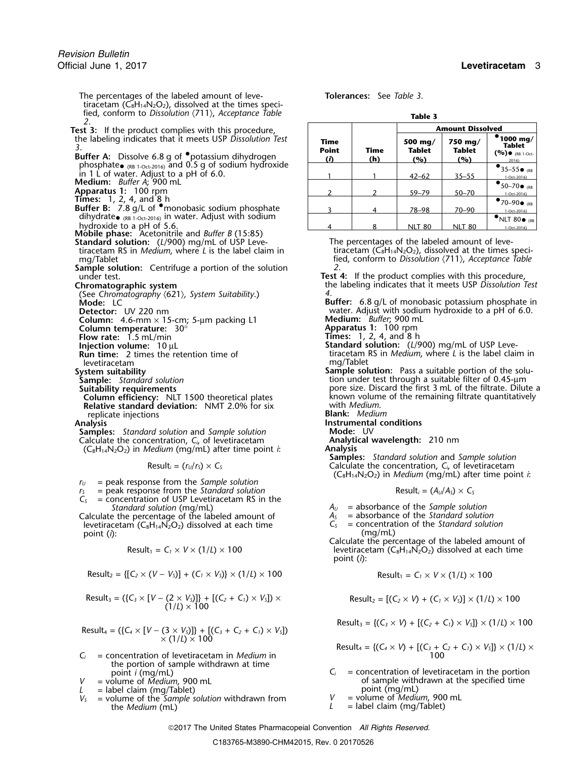The percentages of the labeled amount of leve- **Tolerances:** See *Table 3*. tiracetam ( $\check{C_8}H_{14}N_2O_2$ ), dissolved at the times specified, conform to *Dissolution*  $\langle 711 \rangle$ , *Acceptance Table* **Table** 3 **Test 3:** If the product complies with this procedure, the labeling indicates that it meets USP Dissolution Test **Buffer A:** Dissolve 6.8 g of •potassium dihydrogen **(***i***) (***i***) (***b***) (***%***) (***%***) (***%***) (***8***<sup>1-Oct-2016) and 0.5 g of sodium hydroxide <b>by and 1.0** in (*2*) (*8*<sup>1</sup> (*8*<sup>1</sup> (*8*<sup>216</sup> (*8*<sup>216</sup> (*8*<sup>216</sup> (*8*<sup>216</sup> (*8*<sup></sup></sup> in 1 L of water. Adjust to a pH of 6.0.<br>**Medium:** *Buffer A*; 900 mL Apparatus 1: 100 rpm<br> **Times:** 1, 2, 4, and 8 h<br> **Buffer B:** 7.8 g/L of •monobasic sodium phosphate 3 4 78–98 70–90 1-Oct-2016) dihydrate<sub>• (RB 1-Oct-2016)</sub> in water. Adjust with sodium  $\begin{array}{|c|c|c|c|c|c|}\hline A& 8& \text{NLT 80}& \text{NLT 80}& \text{NLT 80}& \text{NLT 80} \\\hline \end{array}$ **Mobile phase:** Acetonitrile and *Buffer B* (15:85) **Standard solution:** (*L*/900) mg/mL of USP Leve-<br>tiracetam RS in *Medium*, where *L* is the label claim in tiracetam (C<sub>8</sub>H<sub>14</sub>N<sub>2</sub>O<sub>2</sub>), dissolved at the times specitiracetam RS in *Medium*, where *L* is the label claim in mg/Tablet fied, conform to *Dissolution* 〈711〉, *Acceptance Table* **Sample solution:** Centrifuge a portion of the solution under test. under test.<br> **Chromatographic system**<br> **Chromatographic system Test 4:** If the product complies with this procedure,<br>
the labeling indicates that it meets USP Dissolution 1 (See *Chromatography* 〈621〉*, System Suitability*.) *4.* **Mode:** LC **Buffer:** 6.8 g/L of monobasic potassium phosphate in<br>**Detector:** UV 220 nm **Buffer:** 6.8 g/L of monobasic potassium phosphate in **Column:** 4.6-mm × 15-cm; 5-μm packing L1<br>**Column temperature:** 30°

**Flow rate:** 1.5 mL/min

levetiracetam<br>System suitability

**Column efficiency:** NLT 1500 theoretical plates known volumers and and remaining remaining remaining filtrate quantitative dual the remaining remaining filtrate quantitative standard deviation: NMT 2.0% for six and medium **Relative standard deviation:** NMT 2.0% for six replicate injections **Blank:** *Medium*

**Samples:** *Standard solution* and *Sample solution* **Mode:** UV<br>
Calculate the concentration. C. of levetiracetam **Analytical wavelength:** 210 nm Calculate the concentration, *C<sub>i</sub>*, of levetiracetam **Analytical Manalytical Wavelength:** 2010<br>C<sub>e</sub>H<sub>14</sub>N<sub>2</sub>O<sub>2</sub>) in *Medium* (mg/ml) after time point *i* (C8H14N2O2) in *Medium* (mg/mL) after time point *i*: **Analysis**

*<sup>r</sup><sup>U</sup>* = peak response from the *Sample solution*

- $r<sub>S</sub>$  = peak response from the *Standard solution*  $\tilde{C}_s$  = concentration of USP Levetiracetam RS in the
- *Standard solution* (mg/mL)  $A_U$  = absorbance of the *Sample solution*<br>  $A_S$  = absorbance of the *Standard solution*<br>  $A_S$  = absorbance of the *Standard solution* Calculate the percentage of the labeled amount of  $A_5$  = absorbance of the *Standard solution*<br>levetiracetam (C<sub>8</sub>H<sub>14</sub>N<sub>2</sub>O<sub>2</sub>) dissolved at each time  $C_5$  = concentration of the *Standard solution* levetiracetam (C<sub>8</sub>H<sub>14</sub>N<sub>2</sub>O<sub>2</sub>) dissolved at each time  $C_5$  = concentrat point (*i*):  $(mq/mL)$ point (*i*): (mg/mL)

$$
Result_1 = C_1 \times V \times (1/L) \times 100
$$

$$
Result_2 = \{ [C_2 \times (V - V_5)] + (C_1 \times V_5) \} \times (1/L) \times 100
$$
\n
$$
Result_1 = C_1 \times V \times (1/L) \times 100
$$

Result<sub>3</sub> = (
$$
\{C_3 \times [V - (2 \times V_5)]\} + [(C_2 + C_1) \times V_5] \times
$$
  
\n $(1/L) \times 100$   
\nResult<sub>2</sub> =  $[(C_2 \times V) + (C_1 \times V_5)] \times (1/L) \times 100$ 

$$
Result_4 = (\{C_4 \times [V - (3 \times V_5)]\} + [(C_3 + C_2 + C_1) \times V_5]) \times (1/L) \times 100
$$

- $C_i$  = concentration of levetiracetam in *Medium* in the portion of sample withdrawn at time point  $i$  (mq/mL)
- 

 $L =$  label claim (mg/Tablet)<br>V<sub>2</sub> = volume of the *Sample solution* withdrawn from  $V =$  volume of *Medium*, 900 mL  $V =$  volume of the *Sample solution* withdrawn from  $V =$  the *Medium* (ml) the *Medium* (mL)  $L =$  label claim (mg/Tablet)

| la | ۱<br>o |  |
|----|--------|--|
|    |        |  |

|                                         |                    | <b>Amount Dissolved</b>         |                                 |                                                                  |  |  |  |
|-----------------------------------------|--------------------|---------------------------------|---------------------------------|------------------------------------------------------------------|--|--|--|
| Time<br><b>Point</b><br>$\ddot{\Omega}$ | <b>Time</b><br>(h) | 500 mg/<br><b>Tablet</b><br>(%) | 750 mg/<br><b>Tablet</b><br>(%) | 1000 mg/<br><b>Tablet</b><br>$(9/0) \bullet$ (RB 1-Oct-<br>2016) |  |  |  |
|                                         |                    | $42 - 62$                       | $35 - 55$                       | $35-55$ $\bullet$ $(RB)$<br>1-Oct-2016)                          |  |  |  |
|                                         |                    | $59 - 79$                       | $50 - 70$                       | $50-70$ $\bullet$ (RB<br>1-Oct-2016)                             |  |  |  |
|                                         | 4                  | 78-98                           | $70 - 90$                       | $\bullet$ 70–90 $\bullet$ <sub>(RB</sub><br>1-Oct-2016)          |  |  |  |
|                                         | 8                  | <b>NLT 80</b>                   | <b>NLT 80</b>                   | NLT 80 $_{CRB}$<br>1-Oct-2016)                                   |  |  |  |

**Chromatographic system** the labeling indicates that it meets USP *Dissolution Test*

water. Adjust with sodium hydroxide to a pH of 6.0.

**Medium:** *Buffer*, 900 mL<br>**Apparatus 1:** 100 rpm<br>**Times:** 1, 2, 4, and 8 h

- **Injection volume:** 10 µL **Standard solution:** (*L*/900) mg/mL of USP Leve-<br>**Run time:** 2 times the retention time of the state of tracetam RS in *Medium*, where *L* is the label clair tiracetam RS in *Medium*, where *L* is the label claim in mg/Tablet
- **Sample solution:** Pass a suitability **Sample solution:** Pass a suitable portion of the solu-<br>**Sample:** Standard solution **Sample:** Standard solution of the solu-**Sample:** *Standard solution*<br> **Sample:** *Standard solution*<br> **Suitability requirements**<br> **Suitability requirements**<br> **Suitability requirements** pore size. Discard the first 3 mL of the filtrate. Dilute a known volume of the remaining filtrate quantitatively

**Instrumental conditions**<br>Mode: UV

**Samples:** *Standard solution* and *Sample solution* Result<sub>i</sub> =  $(r<sub>U</sub>/r<sub>S</sub>) \times C_s$  Calculate the concentration,  $C_i$ , of levetiracetam (C8H14N2O2) in *Medium* (mg/mL) after time point *i*:

$$
Result_i = (A_U/A_S) \times C_S
$$

- 
- 

Calculate the percentage of the labeled amount of  $R(T/L) \times 100$  levetiracetam (C<sub>8</sub>H<sub>14</sub>N<sub>2</sub>O<sub>2</sub>) dissolved at each time point (*i*):

$$
Result_1 = C_1 \times V \times (1/L) \times 100
$$

Result<sub>2</sub> = 
$$
[(C_2 \times V) + (C_1 \times V_5)] \times (1/L) \times 100
$$

 $Result_3 = \{ (C_3 \times V) + [(C_2 + C_1) \times V_5] \} \times (1/L) \times 100$ 

$$
Result_4 = \{(C_4 \times V) + [(C_3 + C_2 + C_1) \times V_5]\} \times (1/L) \times
$$

- point *i* (mg/mL)  $C_i$  = concentration of levetiracetam in the portion = volume of *Medium*, 900 mL of sample withdrawn at the specified time *V* = volume of *Medium*, 900 mL<br> *L* = label claim (mg/Tablet) **by** a set of sample withdrawn at the specified time
	-
	-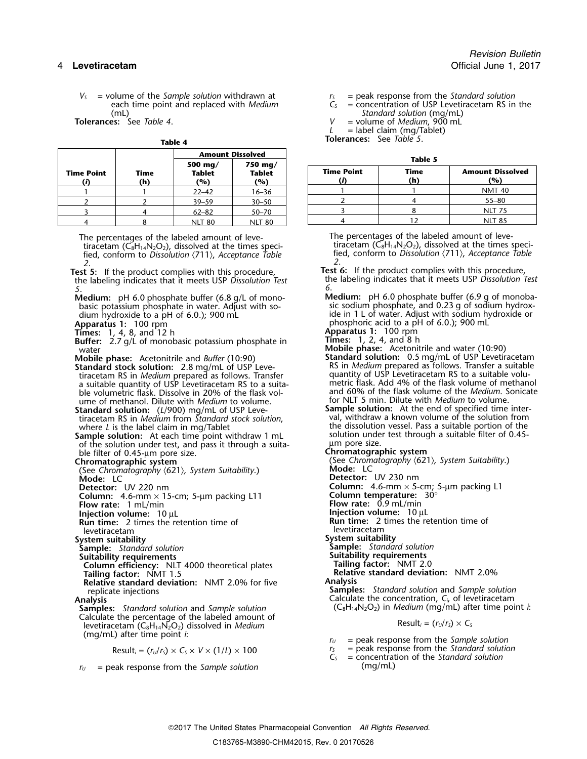$V_s$  = volume of the *Sample solution* withdrawn at  $V_s$  = peak response from the *Standard solution* each time point and replaced with *Medium*  $C_s$  = concentration of USP Levetiracetam RS in each time point and replaced with *Medium*  $\tilde{C}_s$  = concentration of USP Levetiracetam RS in the  $\tilde{C}_s$  = concentration of USP Levetiracetam RS in the  $\tilde{C}_s$ (mL) *Standard solution* (mg/mL)

| a | DI | œ |  |
|---|----|---|--|

|                   |             | <b>Amount Dissolved</b>         |                          |                   | Table 5     |                           |  |
|-------------------|-------------|---------------------------------|--------------------------|-------------------|-------------|---------------------------|--|
| <b>Time Point</b> | Time<br>(h) | 500 mg/<br><b>Tablet</b><br>(%) | 750 mg/<br>Tablet<br>(%) | <b>Time Point</b> | Time<br>(h) | <b>Amount Diss</b><br>(%) |  |
|                   |             | $22 - 42$                       | $16 - 36$                |                   |             | <b>NMT 40</b>             |  |
|                   |             | $39 - 59$                       | $30 - 50$                |                   |             | $55 - 80$                 |  |
|                   |             | $62 - 82$                       | $50 - 70$                |                   |             | <b>NLT 75</b>             |  |
|                   |             | <b>NLT 80</b>                   | <b>NLT 80</b>            |                   |             | <b>NLT 85</b>             |  |

The percentages of the labeled amount of leve-<br>tiracetam (C<sub>8</sub>H<sub>14</sub>N<sub>2</sub>O<sub>2</sub>), dissolved at the times speci-<br>tiracetam (C<sub>8</sub>H<sub>14</sub>N<sub>2</sub>O<sub>2</sub>), dissolved at the times specitiracetam ( $\tilde{C}_8H_{14}N_2O_2$ ), dissolved at the times specified, conform to *Dissolution*  $\langle 711 \rangle$ , *Acceptance Table 2 2*. .

the labeling indicates that it meets USP *Dissolution Test* the labeling indicates that it meets USP *Dissolution Test 5 6*. .

basic potassium phosphate in water. Adjust with sodium hydroxide to a pH of 6.0.); 900 mL

**Times:** 1, 4, 8, and 12 h **Apparatus 1:** 100 rpm

**Buffer:** 2.7 g/L of monobasic potassium phosphate in **Times:** 1, 2, 4, and 8 h water: 2.7 g/L of monobasic potassium phosphate in **Times:** 1, 2, 4, and 8 h<br>Weble phase: Acetonitrile and water (10:90)

**Standard stock solution:** 2.8 mg/mL of USP Leve- RS in *Medium* prepared as follows. Transfer a suitable volution<br>-tiracetam RS in *Medium* prepared as follows. Transfer quantity of USP Levetiracetam RS to a suitable volu a suitable quantity of USP Levetiracetam RS to a suita-<br>ble volumetric flask. Dissolve in 20% of the flask volume of methanol. Dilute with *Medium* for NLT 5 min. Dilute with *Medium* to volume. to volume.

tiracetam RS in *Medium* from *Standard stock solution*, val, withdraw a known volume of the solution from

**Sample solution:** At each time point withdraw 1 mL solution under the solution under test, and pass it through a suitaof the solution under test, and pass it through a suita-<br>ble filter of 0.45-um pore size.<br>**Chromatographic system** ble filter of 0.45-µm pore size. **Chromatographic system**

(See *Chromatography* 〈621〉*, System Suitability*.) **Mode:** LC

**Column:** 4.6-mm × 15-cm; 5-µm packing L11 **Flow rate:** 1 mL/min

- 
- 

levetiracetam levetiracetam

- 
- **System suitability**<br> **Sample:** Standard solution<br> **Sample:** Standard solution **Sample:** *Standard solution* **Sample:** *Standard solution*
- **Suitability requirements Suitability requirements**

**Column efficiency:** NLT 4000 theoretical plates **Tailing factor:** NMT 2.0 **Tailing factor:** NMT 1.5 **Relative standard deviation:** NMT 2.0%

**Relative standard deviation:** NMT 2.0% for five **Analysis**

Calculate the percentage of the labeled amount of<br>
levetiracetam (C<sub>8</sub>H<sub>14</sub>N<sub>2</sub>O<sub>2</sub>) dissolved in *Medium*<br>
(mg/mL) after time point *i*:

Result<sub>i</sub> = 
$$
(r_v/r_s) \times C_s \times V \times (1/L) \times 100
$$

 $r_U$  = peak response from the *Sample solution*  $(mg/mL)$ 

**Tolerances:** See *Table 4*. *V* = volume of *Medium*, 900 mL

 $L =$  label claim (mg/Tablet)

**Tolerances:** See *Table 5*.

| ۰.<br>M<br>۰.<br>× | v<br>v. |
|--------------------|---------|
|--------------------|---------|

|            |                    | 500 mg/              | 750 mg/              |  |                   |             |                                |
|------------|--------------------|----------------------|----------------------|--|-------------------|-------------|--------------------------------|
| Time Point | <b>Time</b><br>(h) | <b>Tablet</b><br>(%) | <b>Tablet</b><br>(%) |  | <b>Time Point</b> | Time<br>(h) | <b>Amount Dissolved</b><br>(%) |
|            |                    | $22 - 42$            | 16–36                |  |                   |             | <b>NMT 40</b>                  |
|            |                    | $39 - 59$            | $30 - 50$            |  |                   |             | $55 - 80$                      |
|            |                    | $62 - 82$            | $50 - 70$            |  |                   |             | <b>NLT 75</b>                  |
|            |                    | NIIT RO              | NIT 80               |  |                   |             | <b>NLT 85</b>                  |

fied, conform to *Dissolution*  $\langle 711 \rangle$ , *Acceptance Table* 

**Test 5:** If the product complies with this procedure,<br>In the labeling indicates that it meets USP Dissolution Test<br>In the labeling indicates that it meets USP Dissolution Test

- **Medium:** pH 6.0 phosphate buffer (6.8 g/L of mono-<br>basic potassium phosphate in water. Adjust with so-<br>sic sodium phosphate, and 0.23 g of sodium hydroxide in 1 L of water. Adjust with sodium hydroxide or phosphoric acid to a pH of 6.0.); 900 mL **Apparatus 1:** 100 rpm <sup>p</sup>hosphoric acid to a pH of 6.0.); 900 mL
	-
	-
- **Mobile phase:** Acetonitrile and *Buffer* (10:90) **Standard solution:** 0.5 mg/mL of USP Levetiracetam tiracetam RS in *Medium* prepared as follows. Transfer<br>a suitable quantity of USP Levetiracetam RS to a suita-<br>metric flask. Add 4% of the flask volume of methanol and 60% of the flask volume of the *Medium*. Sonicate
- **Standard solution: Sample solution:** At the end of specified time inter- (*L*/900) mg/mL of USP Levewhere *L* is the label claim in mg/Tablet the dissolution vessel. Pass a suitable portion of the dissolution vessel. Pass a suitable portion of the dissolution vessel. Pass a suitable portion of the solution: At each time

(See Chromatography  $\langle 621 \rangle$ , System Suitability.)<br>**Mode:** LC

- **Detector:** UV 230 nm
- **Detector:** UV 220 nm<br> **Detector:** UV 220 nm<br> **Column:** 4.6-mm × 15-cm: 5-um packing L11 **Column temperature:** 30°
	-
	- **Flow rate:** 0.9 mL/min
- **Injection volume:**<sup>10</sup> <sup>µ</sup><sup>L</sup> **Injection volume:**<sup>10</sup> <sup>µ</sup><sup>L</sup>
- **Run time:** 2 times the retention time of 2 times the retention time of
	-
	-
	-
	- -
	-
- replicate injections **Samples:** *Standard solution* and *Sample solution*<br>Calculate the concentration, *C<sub>i</sub>*, of levetiracetam **Analysis** Calculate the concentration, *C<sup>i</sup>*, of levetiracetam **Samples:** *Standard solution* and *Sample solution* (C<sub>8</sub>H<sub>14</sub>N<sub>2</sub>O<sub>2</sub>) in *Medium* (mg/mL) after time point *i*:

- $r_U$  = peak response from the *Sample solution*
- $r_s$  = peak response from the Standard solution<br> $C_s$  = concentration of the Standard solution
-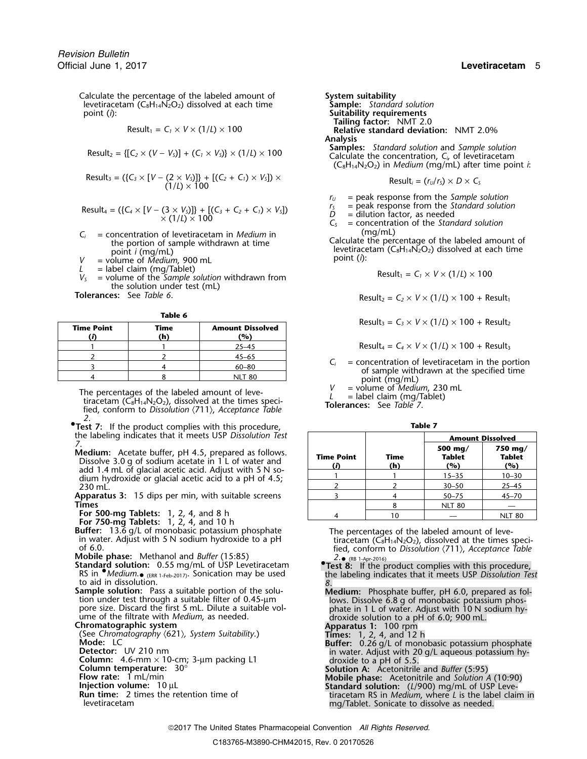Calculate the percentage of the labeled amount of **System suitability**<br>levetiracetam (C<sub>8</sub>H<sub>14</sub>N<sub>2</sub>O<sub>2</sub>) dissolved at each time **Sample:** Standard solution levetiracetam  $(C_8H_{14}N_2O_2)$  dissolved at each time point (*i*):

$$
Result_1 = C_1 \times V \times (1/L) \times 100
$$

$$
Result_2 = \{ [C_2 \times (V - V_5)] + (C_1 \times V_5) \} \times (1/L) \times 100
$$

$$
Result_3 = (\{C_3 \times [V - (2 \times V_5)]\} + [(C_2 + C_1) \times V_5]) \times
$$
\n
$$
Result_3 = (r_0/r_5) \times D \times C_5
$$
\n
$$
Result_4 = (r_0/r_5) \times D \times C_5
$$

$$
Result_4 = (\{C_4 \times [V - (3 \times V_5)]\} + [(C_3 + C_2 + C_1) \times V_5])
$$
  
 
$$
\times (1/L) \times 100
$$

- $C_i$  = concentration of levetiracetam in *Medium* in (mg/mL)<br>the portion of sample withdrawn at time<br>point *i* (mg/mL)<br> $V$  = volume of *Medium*, 900 mL and time<br>point *i* (ng/mL)<br>point (*i*):
- 
- 
- $L =$  label claim (mg/Tablet)<br> $V_s =$  volume of the *Sample solution* withdrawn from the solution under test (mL)<br>Tolerances: See Table 6.

| M<br>٠ |  |
|--------|--|
|--------|--|

| <b>Time Point</b> | Time<br>'n | <b>Amount Dissolved</b><br>(%) |
|-------------------|------------|--------------------------------|
|                   |            | $25 - 45$                      |
|                   |            | $45 - 65$                      |
|                   |            | $60 - 80$                      |
|                   |            |                                |

The percentages of the labeled amount of leve-<br>tiracetam (C<sub>8</sub>H<sub>14</sub>N<sub>2</sub>O<sub>2</sub>), dissolved at the times speci-<br>fied, conform to Dissolution  $\langle 711 \rangle$ , Acceptance Table<br>**Tolerances:** See Table 7. *2*.

**•.Test 7:** If the product complies with this procedure, **Table 7** the labeling indicates that it meets USP Dissolution Test

- 
- 

- 
- (RB 1-Apr-2016) **Standard solution:** 0.55 mg/mL of USP Levetiracetam **•.Test 8:** If the product complies with this procedure, RS in •.*Medium*. RS in *Medium.* <sub>(ERR 1-Feb-2017)</sub>. Sonication may be used to aid in dissolution. *8*.
- **Sample solution:** Pass a suitable portion of the solu-<br>
tion under test through a suitable filter of 0.45-µm lows. Dissolve 6.8 g of monobasic potassium phos-<br>
pore size. Discard the first 5 mL. Dilute a suitable vol-<br>
ph

- 
- 
- 
- 
- 
- 
- levetiracetam mg/Tablet. Sonicate to dissolve as needed.

point (*i*): **Suitability requirements Tailing factor:** NMT 2.0 **Relative standard deviation:** NMT 2.0% Analysis<br>Samples: Standard solution and Sample solution Calculate the concentration,  $C_i$ , of levetiracetam  $(C_8H_{14}N_2O_2)$  in *Medium* (mg/mL) after time point *i*:

$$
Result_i = (r_U/r_S) \times D \times C_S
$$

 $r_U$  = peak response from the *Sample solution*<br> $r_S$  = peak response from the *Standard solution* 

 $r_s$  = peak response from the Standard solut<br>  $D =$  dilution factor, as needed<br>  $C_s =$  concentration of the Standard solution

$$
Result_1 = C_1 \times V \times (1/L) \times 100
$$

 $\text{Result}_2 = C_2 \times V \times (1/L) \times 100 + \text{Result}_1$ 

 $Result_3 = C_3 \times V \times (1/L) \times 100 + Result_2$ 

 $Result_4 = C_4 \times V \times (1/L) \times 100 + Result_3$ 

 $C_i$  = concentration of levetiracetam in the portion of sample withdrawn at the specified time point (mg/mL)  $V$  = volume of *Medium*, 230 mL

| the labeling indicates that it meets USP Dissolution Test                                                       |                         |             | <b>Amount Dissolved</b>                        |                                 |
|-----------------------------------------------------------------------------------------------------------------|-------------------------|-------------|------------------------------------------------|---------------------------------|
| Medium: Acetate buffer, pH 4.5, prepared as follows.<br>Dissolve 3.0 q of sodium acetate in 1 L of water and    | <b>Time Point</b><br>(D | Time<br>(h) | 500 mg/<br>Tablet<br>(%)                       | 750 mg/<br><b>Tablet</b><br>(%) |
| add 1.4 mL of glacial acetic acid. Adjust with 5 N so-<br>dium hydroxide or glacial acetic acid to a pH of 4.5; |                         |             | $15 - 35$                                      | $10 - 30$                       |
| 230 mL.                                                                                                         |                         |             | $30 - 50$                                      | $25 - 45$                       |
| Apparatus 3: 15 dips per min, with suitable screens                                                             |                         |             | $50 - 75$                                      | $45 - 70$                       |
| Times                                                                                                           |                         |             | <b>NLT 80</b>                                  |                                 |
| For 500-mg Tablets: $1, 2, 4$ , and 8 h                                                                         |                         | 10          |                                                | <b>NLT 80</b>                   |
| For 750-mg Tablets: 1, 2, 4, and 10 h<br>Buffer: 13.6 g/L of monobasic potassium phosphate                      |                         |             | The percentages of the labeled amount of leve- |                                 |

in water. Adjust with 5 N sodium hydroxide to a pH<br>of 6.0.<br>Mobile phase: Methanol and *Buffer* (15:85)<br>Standard solution: 0.55 mg/mL of USP Levetiracetam<br>Standard solution: 0.55 mg/mL of USP Levetiracetam<br>Pest 8: If the p

the labeling indicates that it meets USP Dissolution Test

- 
- 
- pore size. Discard the first 5 mL. Dilute a suitable volume in 1 L of water. Adjust with 10 N sodium hy-<br>
chromatographic system<br>
Chromatography (621), System Suitability.)<br>
Chromatography (621), System Suitability.)<br>
Colu
	-

2017 The United States Pharmacopeial Convention *All Rights Reserved.*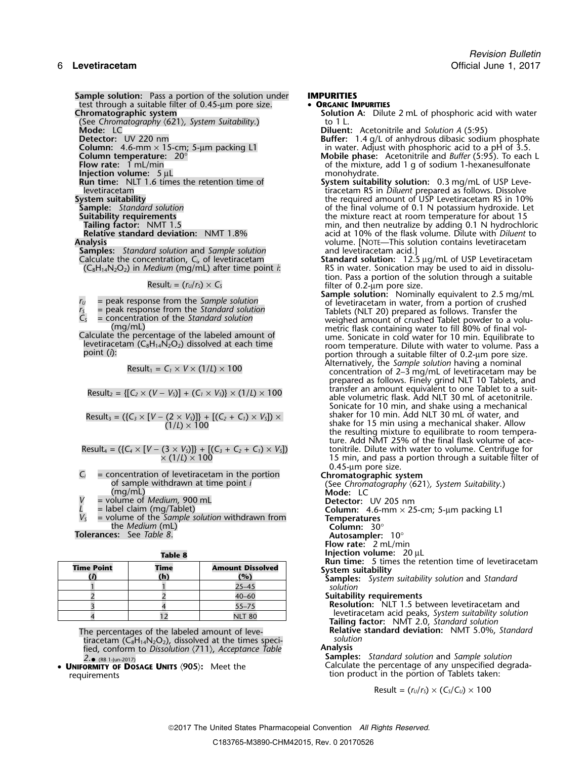**Sample solution:** Pass a portion of the solution under **IMPURITIES**<br>test through a suitable filter of 0.45-um pore size. **• ORGANIC IMPURITIES** test through a suitable filter of 0.45-µm pore size.<br>**Chromatographic system** 

(See Chromatography  $\langle 621 \rangle$ , System Suitability.) (Mode: LC **Mode:** LC **Diluent:** Acetonitrile and *Solution A* (5:95)<br> **Detector:** UV 220 nm

**Injection volume:** 5 µL<br>**Run time:** NLT 1.6 times the retention time of

**Samples:** *Standard solution* and *Sample solution* Calculate the concentration, C<sub>i</sub>, of levetiracetam

$$
Result_1 = C_1 \times V \times (1/L) \times 100
$$

Result<sub>2</sub> = {[
$$
C_2 \times (V - V_s)
$$
] + ( $C_1 \times V_s$ )}  $\times$  (1/ $L$ )  $\times$  100

Result<sub>3</sub> = (
$$
{C_3 \times [V - (2 \times V_3)]} + [(C_2 + C_1) \times V_3] \times (1/L) \times 100
$$

Result<sub>4</sub> = (
$$
{C_4 \times [V - (3 \times V_5)]} + [(C_3 + C_2 + C_1) \times V_5]
$$
)  
× (1/L) × 100

 $C_i$  = concentration of levetiracetam in the portion<br>
of sample withdrawn at time point *i*<br>
(mg/mL)<br>  $V$  = volume of *Medium*, 900 mL<br>
= label claim (mg/Tablet)<br>  $\begin{array}{ccc}\nV & = & 205 \text{ nm} \\
& - & 25 \text{ cm} \\
& - & 25 \text{ cm} \\
& - & 4.6 - \text{$ 

= volume of *Medium*, 900 mL<br>= label claim (mg/Tablet)

 $V_s$  = volume of the *Sample solution* withdrawn from **Temperatures** the *Medium* (mL) **Column:** 30°

**Tolerances:** See *Table 8*. **Autosampler:** 10°

| ш<br>п | ٠ |  |  |
|--------|---|--|--|
|        |   |  |  |

| <b>Time Point</b><br><b>Time</b> |  | <b>Amount Dissolved</b> |  |  |
|----------------------------------|--|-------------------------|--|--|
|                                  |  | (°)                     |  |  |
|                                  |  | $25 - 45$               |  |  |
|                                  |  | $40 - 60$               |  |  |
|                                  |  | $55 - 75$               |  |  |
|                                  |  | INI I                   |  |  |

The percentages of the labeled amount of leve- **Relative Relative**<br>**Relative standard deviation:** Network **Standard Standard Standard Standard** tiracetam (C<sub>8</sub>H<sub>14</sub>N<sub>2</sub>O<sub>2</sub>), dissolved at the times speci- *solution*<br>fied conform to Dissolution (711) Accentance Table **Analysis** fied, conform to *Dissolution* 〈711〉, *Acceptance Table* **Analysis**

tion product in the portion of Tablets taken:

**Solution A:** Dilute 2 mL of phosphoric acid with water to 1 L.

**Detector:** UV 220 nm<br>**Column:** 4.6-mm × 15-cm; 5-µm packing L1 **Buffer:** 1.4 g/L of anhydrous dibasic sodium phosphate<br>in water. Adjust with phosphoric acid to a pH of 3.5. **Column:** 4.6-mm × 15-cm; 5-µm packing L1 in water. Adjust with phosphoric acid to a pH of 3.5.

**Column temperature:** 20° **Mobile phase:** Acetonitrile and *Buffer* (5:95). To each L **Flow rate:** 1 mL/min of the mixture, add 1 g of sodium 1-hexanesulfonate injection volume: 5 uL<br>Injection volume: 5 uL

- **Run time:** NLT 1.6 times the retention time of **System suitability solution:** 0.3 mg/mL of USP Levelevetiracetam<br>levetiracetam tiracetam RS in *Diluent* prepared as follows. Dissolve<br>System suitability state of USP Levetiracetam RS in 109 **System suitability**<br> **Sample:** Standard solution **Sample:** Standard solution **Sample:** Standard solution **Standard Standard Standard Standard Standard Standard Standard Standard Standard Standard Standard Standard Standar Sample:** *Standard solution* of the final volume of 0.1 N potassium hydroxide. Let **Suitability requirements** the mixture react at room temperature for about 15 **Tailing factor:** NMT 1.5 min, and then neutralize by adding 0.1 N hydrochloric<br>**Relative standard deviation:** NMT 1.8% acid at 10% of the flask volume. Dilute with *Diluent* to **Relative standard deviation:** NMT 1.8% acid at 10% of the flask volume. Dilute with *Diluent* to **Analysis** volume. [NOTE—This solution contains levetiracetam
	- Calculate the concentration, *C<sub>i</sub>*, of levetiracetam **Standard solution:** 12.5 µg/mL of USP Levetiracetam (C<sub>8</sub>H<sub>14</sub>N<sub>2</sub>O<sub>2</sub>) in *Medium* (mg/mL) after time point *i*: RS in water. Sonication may be used to aid in dissolu (C8H14N2O2) in *Medium* (mg/mL) after time point *i*: RS in water. Sonication may be used to aid in dissolution. Pass a portion of the solution through a suitable Result*<sup>i</sup>* = (*<sup>r</sup>U*/*<sup>r</sup>S*) <sup>×</sup> *<sup>C</sup><sup>S</sup>* filter of 0.2-µm pore size.

**Sample solution:** Nominally equivalent to 2.5 mg/mL *r*<sub>*U*</sub> = peak response from the *Sample solution* of levetiracetam in water, from a portion of crushed  $r_5$  = peak response from the *Standard solution* Tablets (NLT 20) prepared as follows. Transfer the  $C_5$  = concentration of the *Standard solution*<br>(mg/mL)<br>Calculate the percentage of the labeled amount of metric flask containing water to fill 80% of final vol-<br>Calculate the percentage of the labeled amount of<br>levetira portion through a suitable filter of 0.2-µm pore size.<br>Alternatively, the *Sample solution* having a nominal

concentration of 2–3 mg/mL of levetiracetam may be prepared as follows. Finely grind NLT 10 Tablets, and transfer an amount equivalent to one Tablet to a suitable volumetric flask. Add NLT 30 mL of acetonitrile. Sonicate for 10 min, and shake using a mechanical shaker for 10 min. Add NLT 30 mL of water, and (1/*L*) ×<sup>100</sup> shake for 15 min using a mechanical shaker. Allow the resulting mixture to equilibrate to room temperature. Add NMT 25% of the final flask volume of ace-Result<sup>4</sup> = ({*C<sup>4</sup>* <sup>×</sup> [*V* <sup>−</sup> (3 <sup>×</sup> *VS*)]} + [(*C3*<sup>+</sup>*C2*<sup>+</sup>*C1*) <sup>×</sup> *VS*]) tonitrile. Dilute with water to volume. Centrifuge for 15 min, and pass a portion through a suitable filter of 0.45-µm pore size.

- 
- 
- **Flow rate:** 2 mL/min
- **Table 8 Injection volume:** 20 µL

**Run time:** 5 times the retention time of levetiracetam **Time Point Time Amount Dissolved System suitability (***i***) (h) (%) Samples:** *System suitability solution* and *Standard*

solution

**Suitability requirements** 

**Resolution:** NLT 1.5 between levetiracetam and levetiracetam acid peaks, *System suitability solution*<br> **Tailing factor:** NMT 2.0, *Standard solution*<br> **Relative standard deviation:** NMT 5.0%, *Standard* 

*2*. **Samples:** *Standard solution* and *Sample solution* •(RB 1-Jun-2017) • **<sup>U</sup>NIFORMITY OF** Calculate the percentage of any unspecified degrada- **DOSAGE UNITS** 〈**905**〉**:** Meet the

$$
Result = (r_U/r_S) \times (C_S/C_U) \times 100
$$